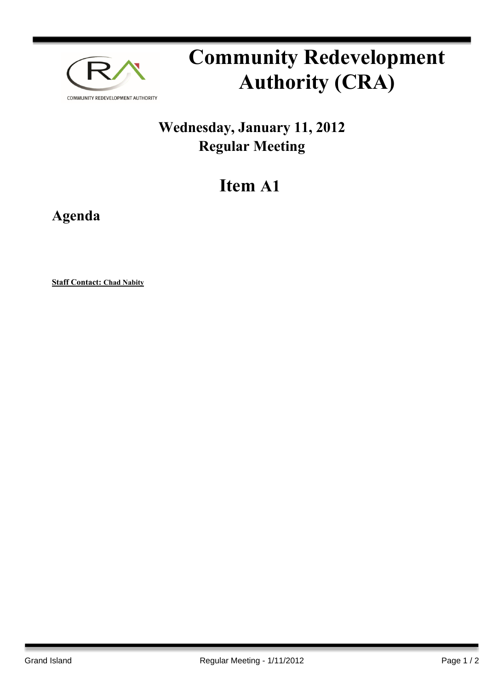

# **Community Redevelopment Authority (CRA)**

## **Wednesday, January 11, 2012 Regular Meeting**

## **Item A1**

**Agenda**

**Staff Contact: Chad Nabity**